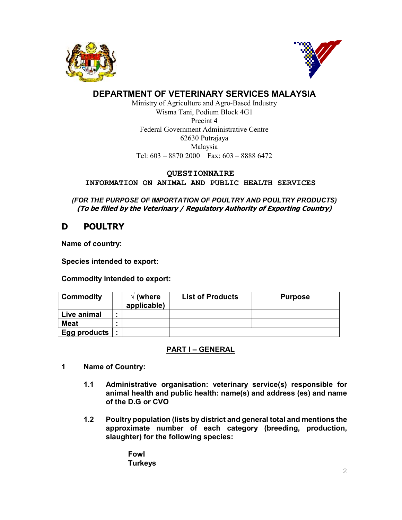



# DEPARTMENT OF VETERINARY SERVICES MALAYSIA

Ministry of Agriculture and Agro-Based Industry Wisma Tani, Podium Block 4G1 Precint 4 Federal Government Administrative Centre 62630 Putrajaya Malaysia Tel: 603 – 8870 2000 Fax: 603 – 8888 6472

## QUESTIONNAIRE

INFORMATION ON ANIMAL AND PUBLIC HEALTH SERVICES

(FOR THE PURPOSE OF IMPORTATION OF POULTRY AND POULTRY PRODUCTS) (To be filled by the Veterinary / Regulatory Authority of Exporting Country)

# D POULTRY

Name of country:

Species intended to export:

Commodity intended to export:

| <b>Commodity</b> |                | $\sqrt{}$ (where<br>applicable) | <b>List of Products</b> | <b>Purpose</b> |
|------------------|----------------|---------------------------------|-------------------------|----------------|
| Live animal      |                |                                 |                         |                |
| <b>Meat</b>      |                |                                 |                         |                |
| Egg products     | $\blacksquare$ |                                 |                         |                |

# PART I – GENERAL

- 1 Name of Country:
	- 1.1 Administrative organisation: veterinary service(s) responsible for animal health and public health: name(s) and address (es) and name of the D.G or CVO
	- 1.2 Poultry population (lists by district and general total and mentions the approximate number of each category (breeding, production, slaughter) for the following species:

Fowl **Turkeys**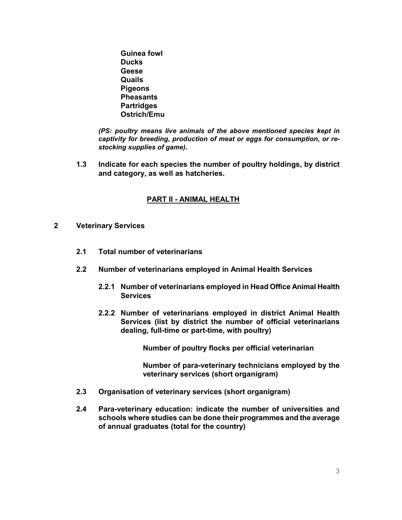Guinea fowl **Ducks Geese** Quails **Pigeons Pheasants Partridges** Ostrich/Emu

(PS: poultry means live animals of the above mentioned species kept in captivity for breeding, production of meat or eggs for consumption, or restocking supplies of game).

1.3 Indicate for each species the number of poultry holdings, by district and category, as well as hatcheries.

## PART II - ANIMAL HEALTH

- 2 Veterinary Services
	- 2.1 Total number of veterinarians
	- 2.2 Number of veterinarians employed in Animal Health Services
		- 2.2.1 Number of veterinarians employed in Head Office Animal Health **Services**
		- 2.2.2 Number of veterinarians employed in district Animal Health Services (list by district the number of official veterinarians dealing, full-time or part-time, with poultry)

Number of poultry flocks per official veterinarian

Number of para-veterinary technicians employed by the veterinary services (short organigram)

- 2.3 Organisation of veterinary services (short organigram)
- 2.4 Para-veterinary education: indicate the number of universities and schools where studies can be done their programmes and the average of annual graduates (total for the country)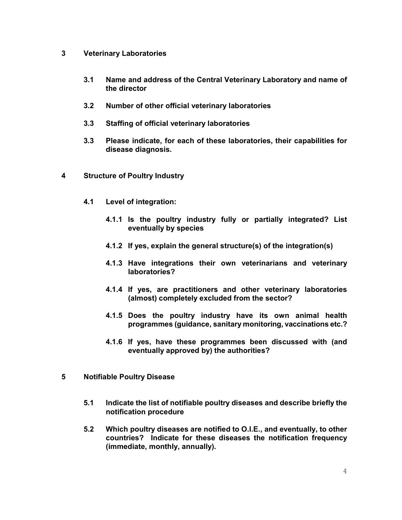## 3 Veterinary Laboratories

- 3.1 Name and address of the Central Veterinary Laboratory and name of the director
- 3.2 Number of other official veterinary laboratories
- 3.3 Staffing of official veterinary laboratories
- 3.3 Please indicate, for each of these laboratories, their capabilities for disease diagnosis.
- 4 Structure of Poultry Industry
	- 4.1 Level of integration:
		- 4.1.1 Is the poultry industry fully or partially integrated? List eventually by species
		- 4.1.2 If yes, explain the general structure(s) of the integration(s)
		- 4.1.3 Have integrations their own veterinarians and veterinary laboratories?
		- 4.1.4 If yes, are practitioners and other veterinary laboratories (almost) completely excluded from the sector?
		- 4.1.5 Does the poultry industry have its own animal health programmes (guidance, sanitary monitoring, vaccinations etc.?
		- 4.1.6 If yes, have these programmes been discussed with (and eventually approved by) the authorities?
- 5 Notifiable Poultry Disease
	- 5.1 Indicate the list of notifiable poultry diseases and describe briefly the notification procedure
	- 5.2 Which poultry diseases are notified to O.I.E., and eventually, to other countries? Indicate for these diseases the notification frequency (immediate, monthly, annually).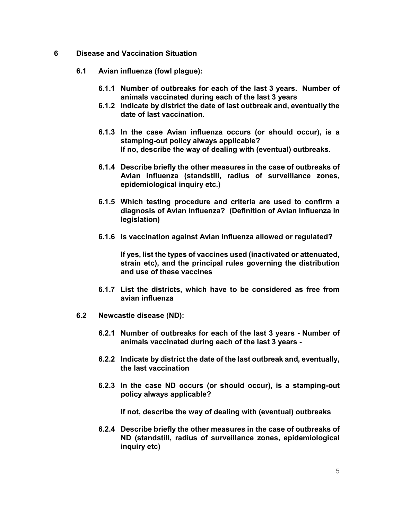- 6 Disease and Vaccination Situation
	- 6.1 Avian influenza (fowl plague):
		- 6.1.1 Number of outbreaks for each of the last 3 years. Number of animals vaccinated during each of the last 3 years
		- 6.1.2 Indicate by district the date of last outbreak and, eventually the date of last vaccination.
		- 6.1.3 In the case Avian influenza occurs (or should occur), is a stamping-out policy always applicable? If no, describe the way of dealing with (eventual) outbreaks.
		- 6.1.4 Describe briefly the other measures in the case of outbreaks of Avian influenza (standstill, radius of surveillance zones, epidemiological inquiry etc.)
		- 6.1.5 Which testing procedure and criteria are used to confirm a diagnosis of Avian influenza? (Definition of Avian influenza in legislation)
		- 6.1.6 Is vaccination against Avian influenza allowed or regulated?

If yes, list the types of vaccines used (inactivated or attenuated, strain etc), and the principal rules governing the distribution and use of these vaccines

- 6.1.7 List the districts, which have to be considered as free from avian influenza
- 6.2 Newcastle disease (ND):
	- 6.2.1 Number of outbreaks for each of the last 3 years Number of animals vaccinated during each of the last 3 years -
	- 6.2.2 Indicate by district the date of the last outbreak and, eventually, the last vaccination
	- 6.2.3 In the case ND occurs (or should occur), is a stamping-out policy always applicable?

If not, describe the way of dealing with (eventual) outbreaks

6.2.4 Describe briefly the other measures in the case of outbreaks of ND (standstill, radius of surveillance zones, epidemiological inquiry etc)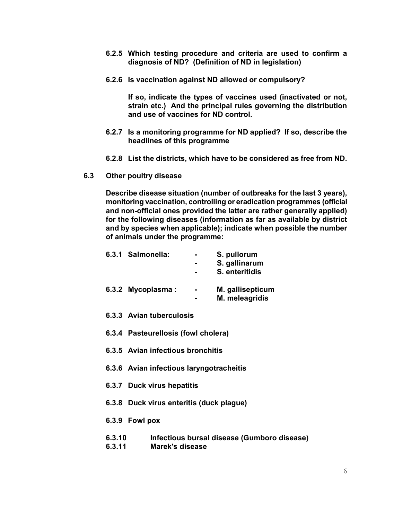- 6.2.5 Which testing procedure and criteria are used to confirm a diagnosis of ND? (Definition of ND in legislation)
- 6.2.6 Is vaccination against ND allowed or compulsory?

If so, indicate the types of vaccines used (inactivated or not, strain etc.) And the principal rules governing the distribution and use of vaccines for ND control.

- 6.2.7 Is a monitoring programme for ND applied? If so, describe the headlines of this programme
- 6.2.8 List the districts, which have to be considered as free from ND.
- 6.3 Other poultry disease

Describe disease situation (number of outbreaks for the last 3 years), monitoring vaccination, controlling or eradication programmes (official and non-official ones provided the latter are rather generally applied) for the following diseases (information as far as available by district and by species when applicable); indicate when possible the number of animals under the programme:

| 6.3.1 Salmonella:                   |  | S. pullorum      |  |  |
|-------------------------------------|--|------------------|--|--|
|                                     |  | S. gallinarum    |  |  |
|                                     |  | S. enteritidis   |  |  |
| 6.3.2 Mycoplasma:                   |  | M. gallisepticum |  |  |
|                                     |  | M. meleagridis   |  |  |
| 6.3.3 Avian tuberculosis            |  |                  |  |  |
| 6.3.4 Pasteurellosis (fowl cholera) |  |                  |  |  |
| 6.3.5 Avian infectious bronchitis   |  |                  |  |  |
|                                     |  |                  |  |  |

- 6.3.6 Avian infectious laryngotracheitis
- 6.3.7 Duck virus hepatitis
- 6.3.8 Duck virus enteritis (duck plague)
- 6.3.9 Fowl pox
- 6.3.10 Infectious bursal disease (Gumboro disease)
- 6.3.11 Marek's disease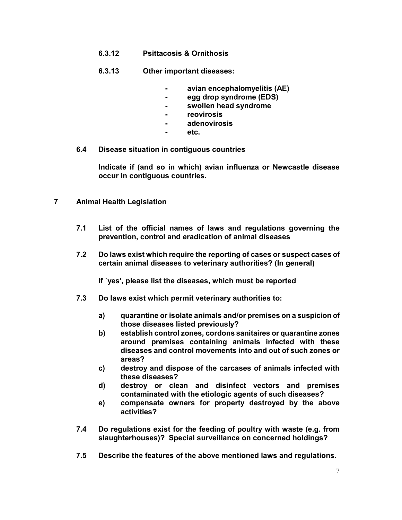- 6.3.12 Psittacosis & Ornithosis
- 6.3.13 Other important diseases:
	- avian encephalomyelitis (AE)
	- egg drop syndrome (EDS)
	- swollen head syndrome
	- reovirosis
	- adenovirosis
	- etc.
- 6.4 Disease situation in contiguous countries

Indicate if (and so in which) avian influenza or Newcastle disease occur in contiguous countries.

- 7 Animal Health Legislation
	- 7.1 List of the official names of laws and regulations governing the prevention, control and eradication of animal diseases
	- 7.2 Do laws exist which require the reporting of cases or suspect cases of certain animal diseases to veterinary authorities? (In general)

If `yes', please list the diseases, which must be reported

- 7.3 Do laws exist which permit veterinary authorities to:
	- a) quarantine or isolate animals and/or premises on a suspicion of those diseases listed previously?
	- b) establish control zones, cordons sanitaires or quarantine zones around premises containing animals infected with these diseases and control movements into and out of such zones or areas?
	- c) destroy and dispose of the carcases of animals infected with these diseases?
	- d) destroy or clean and disinfect vectors and premises contaminated with the etiologic agents of such diseases?
	- e) compensate owners for property destroyed by the above activities?
- 7.4 Do regulations exist for the feeding of poultry with waste (e.g. from slaughterhouses)? Special surveillance on concerned holdings?
- 7.5 Describe the features of the above mentioned laws and regulations.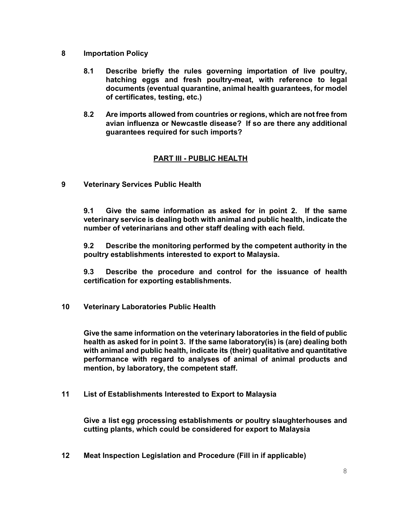- 8 Importation Policy
	- 8.1 Describe briefly the rules governing importation of live poultry, hatching eggs and fresh poultry-meat, with reference to legal documents (eventual quarantine, animal health guarantees, for model of certificates, testing, etc.)
	- 8.2 Are imports allowed from countries or regions, which are not free from avian influenza or Newcastle disease? If so are there any additional guarantees required for such imports?

# PART III - PUBLIC HEALTH

9 Veterinary Services Public Health

9.1 Give the same information as asked for in point 2. If the same veterinary service is dealing both with animal and public health, indicate the number of veterinarians and other staff dealing with each field.

9.2 Describe the monitoring performed by the competent authority in the poultry establishments interested to export to Malaysia.

9.3 Describe the procedure and control for the issuance of health certification for exporting establishments.

10 Veterinary Laboratories Public Health

Give the same information on the veterinary laboratories in the field of public health as asked for in point 3. If the same laboratory(is) is (are) dealing both with animal and public health, indicate its (their) qualitative and quantitative performance with regard to analyses of animal of animal products and mention, by laboratory, the competent staff.

11 List of Establishments Interested to Export to Malaysia

Give a list egg processing establishments or poultry slaughterhouses and cutting plants, which could be considered for export to Malaysia

12 Meat Inspection Legislation and Procedure (Fill in if applicable)